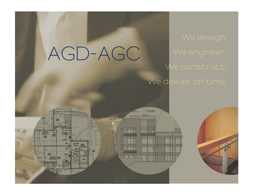# AGD-AGC We engineer. We construct.

**UNIT 21**<br>1242 00 S.

**DATA** 

**BOOK TONS** 

# We deliver on time.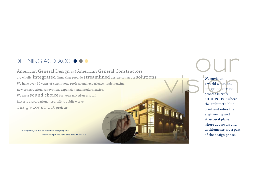## DEFINING AGD-AGC  $\bullet \bullet \bullet$

American General Design and American General Constructors are wholly integrated firms that provide streamlined design-construct solutions. We have over 60 years of continuous professional experience implementing new construction, renovation, expansion and modernization. We are a **SOUND** choice for your mixed-use/retail, historic preservation, hospitality, public works **design-construct** projects.

*"In the future, we will be paperless, designing and constructing in the field with handheld PDA's."*



We envision<br>a world where the<br>design-construct<br>process is truly We envision a world where the **design-construct**  process is truly connected; where the architect's blue print embodies the engineering and structural plans; where approvals and entitlements are a part

of the design phase.

 $\bigcup$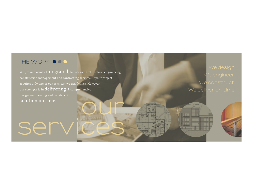## THE WORK  $\bullet \bullet \bullet$

serv

We provide wholly  $integrate d$ , full service architecture, engineering, construction management and contracting services. If your project requires only one of our services, we can deliver. However our strength is in delivering a comprehensive design, engineering and construction solution on time. **our**

We engineer. We construct. We deliver on time.

 $\Box$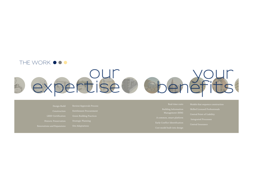## THE WORK  $\bullet \bullet \bullet$

# **our expertise**

- LEED Certification
- Entitlement Procurement Green Building Practices
- 

- Early Conflict Identification Cost model built into design
- 
- 
- 
- Integrated Processes
- Central Insurance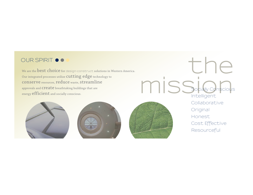We are the best choice for **design-construct** solutions in Western America. Our integrated processes utilize **cutting edge** technology to conserve resources, reduce waste, streamline approvals and Create breathtaking buildings that are energy efficient and socially conscious. OUR SPIRIT  $\bullet \bullet \bullet$ <br>We are the **best choice** for design-construct solutions in Western America.







**mission** Socially Conscious Collaborative Original Honest Resourceful Cost Effective Intelligent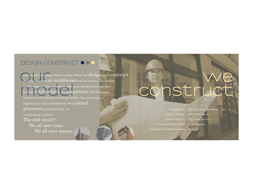## DESIGN-CONSTRUCT  $\bullet$   $\bullet$   $\bullet$

Our version of design-build is unique. When we design and **COI**<br>
for you, there are no middlemen and no juniors. The leaders are the players. You collaborate with seasoned professionals who<br>
provide **total project management**. The buck stops<br>
with us for everything, including liability. Our work from Our version of design-build is unique. When we  $\operatorname{design}$  and  $\operatorname{construct}$ provide total project management. The buck stops with us for everything, including liability. Our work from beginning to end is streamlined. With  $\mathop{\mathrm {joint}}\nolimits d$ processes and technology, we troubleshoot conflicts. The end result? We all save time. We all save money.

# **we construct**

Hotels and Motels Office and Commercial Buildings Mixed-Use Buildings Business and Industrial Parks Entertainment and Sports Complexes Public Works Projects Multi-Family Housing Residential

Shopping Centers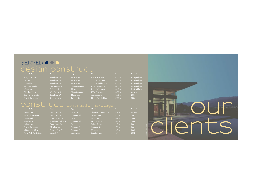## SERVED  $\bullet \bullet \bullet$ **design-construct Project Name Location Type Client Cost Completed**

| $\begin{array}{c c c c c c c c c} \hline \multicolumn{2}{c }{\multicolumn{2}{c }{\multicolumn{2}{c }{\multicolumn{2}{c}}}{\multicolumn{2}{c }{\multicolumn{2}{c}}}{\multicolumn{2}{c }{\multicolumn{2}{c}}}{\multicolumn{2}{c }{\multicolumn{2}{c}}}{\multicolumn{2}{c }{\multicolumn{2}{c}}}{\end{array}}$ | .              |                 | .                      | .        | <u>COMMERCIAL</u> |
|-------------------------------------------------------------------------------------------------------------------------------------------------------------------------------------------------------------------------------------------------------------------------------------------------------------|----------------|-----------------|------------------------|----------|-------------------|
| Arroyo Parkway                                                                                                                                                                                                                                                                                              | Pasadena, CA   | Mixed-Use       | 496 Arroyo, LLC        | \$11.0 M | Design Phase      |
| Del Mar                                                                                                                                                                                                                                                                                                     | Pasadena, CA   | Mixed-Use       | 175 Del Mar, LLC       | \$4.00 M | Design Phase      |
| Los Robles                                                                                                                                                                                                                                                                                                  | Pasadena, CA   | Mixed-Use       | 123 Los Robles, LLC    | \$22.0 M | Design Phase      |
| Verde Valley Plaza                                                                                                                                                                                                                                                                                          | Cottonwood, AZ | Shopping Center | <b>RVM</b> Development | \$4.50 M | Design Phase      |
| Windsong                                                                                                                                                                                                                                                                                                    | Sedona, AZ     | Mixed-Use       | Doug Huberman          | \$32.0 M | Design Phase      |
| Glendale Plaza                                                                                                                                                                                                                                                                                              | Glendale, AZ   | Shopping Center | <b>RVM</b> Development | \$3.00 M | Current           |
| Boston-Centennial                                                                                                                                                                                                                                                                                           | Pasadena, CA   | Mixed-Use       | Joel Leebove           | \$14.0 M | 2006              |
| $Dvirn + a Don idon$                                                                                                                                                                                                                                                                                        | Clandola CA    | $D$ osidontial  | $Di$ gwa Chraghchian   | 4200M    | 200 <sup>c</sup>  |

| .         | - 7 - |
|-----------|-------|
| ena, CA   | Mix   |
| ena, CA   | Mix   |
| ena, CA   | Mix   |
| nwood, AZ | Sho   |
| ia, AZ    | Mix   |
| lale, AZ  | Sho   |
| ena, CA   | Mix   |
|           |       |

| Mixed-Use              |
|------------------------|
| Mixed-Use              |
| Mixed-Use              |
| <b>Shopping Center</b> |
| Mixed-Use              |
| <b>Shopping Center</b> |
| Mixed-Use              |
|                        |

| Client<br>Location<br><b>Type</b> |                        |                        | Cost     | Compl  |
|-----------------------------------|------------------------|------------------------|----------|--------|
| Pasadena, CA                      | Mixed-Use              | 496 Arroyo, LLC        | \$11.0 M | Design |
| Pasadena, CA                      | Mixed-Use              | 175 Del Mar, LLC       | \$4.00 M | Design |
| Pasadena, CA                      | Mixed-Use              | 123 Los Robles, LLC    | \$22.0 M | Design |
| Cottonwood, AZ                    | <b>Shopping Center</b> | <b>RVM</b> Development | \$4.50 M | Design |
| Sedona, AZ                        | Mixed-Use              | Doug Huberman          | \$32.0 M | Design |
| Glendale, AZ                      | <b>Shopping Center</b> | <b>RVM</b> Development | \$3.00 M | Curren |
| Pasadena, CA                      | Mixed-Use              | Joel Leebove           | \$14.0 M | 2006   |
| Glendale, CA                      | Residential            | Pierre Chraghchian     | \$2.00 M | 2006   |

| <b>Project Name</b>    | Location           | <b>Type</b> | <b>Client</b>        | Cost               | Completed |
|------------------------|--------------------|-------------|----------------------|--------------------|-----------|
| The Dalton             | Pasadena, CA       | Mixed Use   | Champion Development | \$15 M             | Current   |
| 22 South Raymond       | Pasadena, CA       | Commercial  | James Plotkin        | \$1.5 M            | 2007      |
| Luxe Hotel             | Los Angeles, CA    | Hotel       | Efrem Harkem         | $$3-4M$            | 2006      |
| Woodcourt              | Woodland Hills, CA | Commercial  | Aroon Chinai         | \$0.7 <sub>M</sub> | 2006      |
| Holiday Inn            | Dana Point, CA     | Hotel       | Robert Jackson       | \$2.5 <sub>M</sub> | 2004      |
| Private Residence      | Glendale, CA       | Residential | Confidential         | \$.36 M            | 2004      |
| Ichikawa Residence     | Los Angeles, CA    | Residential | Ichikawa             | \$0.3 <sub>M</sub> | 2003      |
| River Park Subdivision | Reno NV            | Residential | Trandec Inc.         | \$45 M             | 2002      |

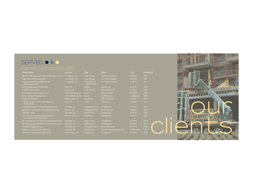## SERVED  $\bullet \bullet \bullet$

| <b>Project Name</b>                                                    | Location           | Type                          | Client                   | Cost          | Completed |  |
|------------------------------------------------------------------------|--------------------|-------------------------------|--------------------------|---------------|-----------|--|
| Aliso Pico Recreation & Cultural Education Center                      | Los Angeles, CA    | Public Works                  | City of Los Angeles      | \$2.20 M      | 2001      |  |
| Eagle Rock Child Care Center                                           | Los Angeles, CA    | Public Works                  | City of Los Angeles      | \$1.20 M      | 2001      |  |
| Nueva Maravilla Rehabilibation &<br>Site Improvement                   | Los Angeles, CA    | Multi-Family/<br>Public Works | Los Angeles County       | \$1.20 M      | 2001      |  |
| Bailey Bridges over Trukee River                                       | Reno, NV           | Bridge                        | Trandec, Inc.            | \$0.55 M      | 2000      |  |
| <b>HJELTE Sports Center</b>                                            | Encino, CA         | Public Works                  | Michael Munsch           | \$1.00 M      | 2000      |  |
| Best Western Sunset Plaza Hotel                                        | West Hollywood, CA | Hotel                         | Robert Jackson           | \$2.50 M      | 1999      |  |
| Betsy Johnson Flagship store                                           | West Hollywood, CA | Retail                        | Confidential             | Confidential  | 1999      |  |
| Soulouki Residence                                                     | Hillsborough, CA   | Residential                   | Albert Soulouki          | \$1.20 M      | 1997      |  |
| 170 Foot 3-Span Concrete Bridges over<br>Trukee River                  | Reno, NV           | Bridge                        | Trandec, Inc.            | \$2.20 M      | 1996      |  |
| 14,000 SF Modern 2-Story Shopping Plaza                                | Glendale, CA       | Shopping Center               | Confidential             | \$1.60 M      | 1995      |  |
| 24,000 SF Traditional 1-Story Shopping Plaza                           | Cypress, CA        | Shopping Center               | Artin Ayvazian           | \$2.95 M      | 1994      |  |
| Glendale Lodge                                                         | Glendale, CA       | Hotel/Motel                   | Confidential             | \$2.00 M      | 1993      |  |
| Lot 74 & 76, 50,000 SF Single-Family &<br>Guest Home (structural only) | Bevery Hills, CA   | Residential                   | Confidential             | \$4.20 M      | 1993      |  |
| 66-Contemporary 90,000 SF Condominium Units                            | Glendale, CA       | Multi-Family                  | Development              | \$7.50 M      | 1992      |  |
| 31-Contemporary 25,000 SF Condominium Units                            | Glendale, CA       | Multi-Family                  | Development              | \$1.65 M      | 1991      |  |
| Glendale Shopping Plaza                                                | Glendale, CA       | Shopping Center               | Heros Minassian          | \$2.10 M      | 1990      |  |
| Oakmont Country Club (6 homes)                                         | Glendale, CA       | Residential                   | Oakmont Development, LLC | \$0.95-4.60 M | 1990      |  |
| 25,000 SF Traditional Single-Family                                    | Bevery Hills, CA   | Residential                   | Confidential             | \$6.60 M      | 1989      |  |

THE RE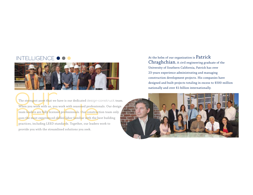## INTELLIGENCE  $\bullet$   $\bullet$



The strongest asset that we have is our dedicated design-common work with us, you work with seasoned profession team leaders are fully licensed professionals. Our constructures are fully licensed professionals. Our constru The strongest asset that we have is our dedicated **design-construct** team. When you work with us, you work with seasoned professionals. Our design team leaders are fully licensed professionals. Our construction team only uses the most experienced skilled labor familiar with the best building practices, including LEED standards. Together, our leaders work to provide you with the streamlined solutions you seek.

At the helm of our organization is Patrick Chraghchian, A civil engineering graduate of the University of Southern California, Patrick has over 23-years experience administrating and managing construction development projects. His companies have designed and built projects totaling in excess to \$500-million nationally and over \$1-billion internationally.

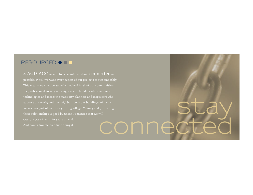## **RESOURCED ● ● ●**

At AGD-AGC we aim to be as informed and CONNected as possible. Why? We want every aspect of our projects to run smoothly. This means we must be actively involved in all of our communities: the professional society of designers and builders who share new technologies and ideas; the many city planners and inspectors who approve our work; and the neighborhoods our buildings join which makes us a part of an every growing village. Valuing and protecting these relationships is good business. It ensures that we will And have a trouble-free time doing it. **stay connected**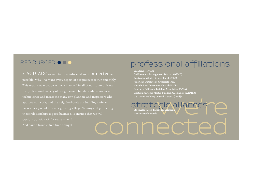### RESOURCED  $\bullet \bullet \bullet$

At  $AGD\text{-}AGC$  we aim to be as informed and  $connected$  as possible. Why? We want every aspect of our projects to run smoothly. This means we must be actively involved in all of our communities: the professional society of designers and builders who share new technologies and ideas; the many city planners and inspectors who approve our work; and the neighborhoods our buildings join which makes us a part of an every growing village. Valuing and protecting these relationships is good business. It ensures that we will

And have a trouble-free time doing it.

## **professional affiliations**

**Pasadena Heritage**

**Old Pasadena Management District (OPMD) Contractors State License Board (CSLB) American Institute of Architects (AIA) Nevada State Contractors Board (NSCB) Southern California Builders Association (SCBA) Western Regional Master Builders Association (WRMBA) U.S. Green Building Council (USGBC [Leed])**

**we're defined and the Contract of the Contract of Contract of Contract of Contract of Contract of Contract of Contract of Contract of Contract of Contract of Contract of Contract of Contract of Contract of Contract of Con** Strategic alliances **Strategic alliances Sunset Pacific Hotels**

**connected**